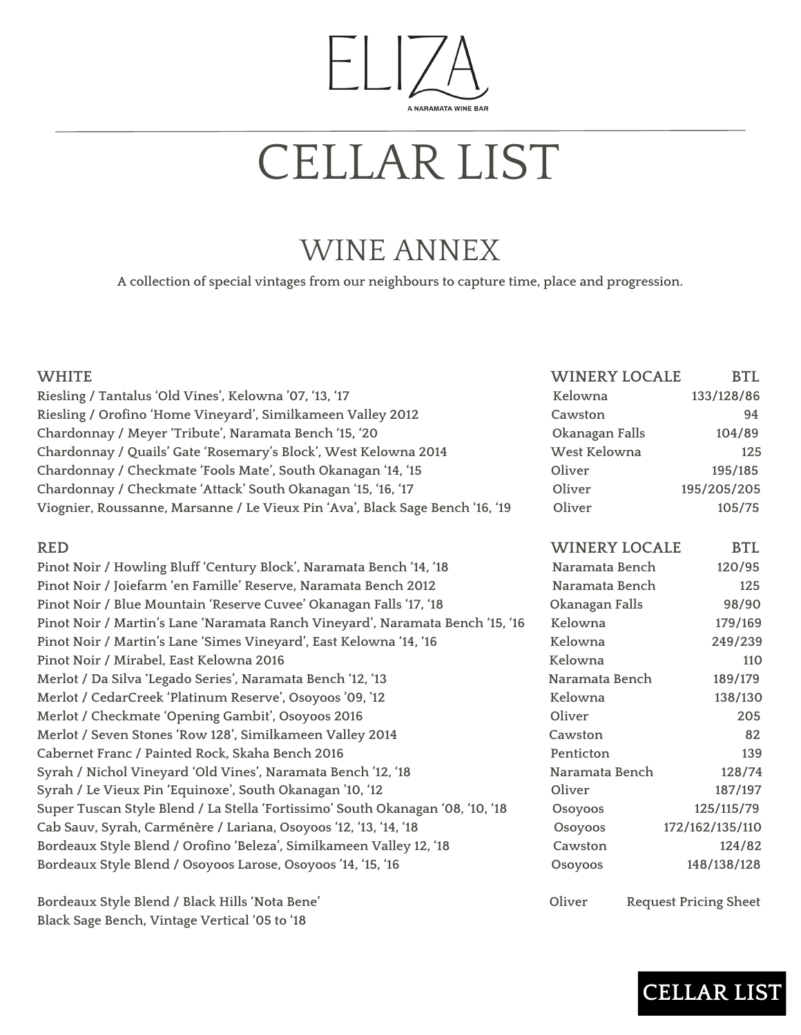### ELI, A NARAMATA WINE BAR

## CELLAR LIST

### WINE ANNEX

**A collection of special vintages from our neighbours to capture time, place and progression.**

| <b>WHITE</b>                                                                   | <b>WINERY LOCALE</b> | <b>BTL</b>                   |
|--------------------------------------------------------------------------------|----------------------|------------------------------|
|                                                                                | Kelowna              |                              |
| Riesling / Tantalus 'Old Vines', Kelowna '07, '13, '17                         |                      | 133/128/86                   |
| Riesling / Orofino 'Home Vineyard', Similkameen Valley 2012                    | Cawston              | 94                           |
| Chardonnay / Meyer 'Tribute', Naramata Bench '15, '20                          | Okanagan Falls       | 104/89                       |
| Chardonnay / Quails' Gate 'Rosemary's Block', West Kelowna 2014                | West Kelowna         | 125                          |
| Chardonnay / Checkmate 'Fools Mate', South Okanagan '14, '15                   | Oliver               | 195/185                      |
| Chardonnay / Checkmate 'Attack' South Okanagan '15, '16, '17                   | Oliver               | 195/205/205                  |
| Viognier, Roussanne, Marsanne / Le Vieux Pin 'Ava', Black Sage Bench '16, '19  | Oliver               | 105/75                       |
| <b>RED</b>                                                                     | <b>WINERY LOCALE</b> | <b>BTL</b>                   |
| Pinot Noir / Howling Bluff 'Century Block', Naramata Bench '14, '18            | Naramata Bench       | 120/95                       |
| Pinot Noir / Joiefarm 'en Famille' Reserve, Naramata Bench 2012                | Naramata Bench       | 125                          |
| Pinot Noir / Blue Mountain 'Reserve Cuvee' Okanagan Falls '17, '18             | Okanagan Falls       | 98/90                        |
| Pinot Noir / Martin's Lane 'Naramata Ranch Vineyard', Naramata Bench '15, '16  | Kelowna              | 179/169                      |
| Pinot Noir / Martin's Lane 'Simes Vineyard', East Kelowna '14, '16             | Kelowna              | 249/239                      |
| Pinot Noir / Mirabel, East Kelowna 2016                                        | Kelowna              | 110                          |
| Merlot / Da Silva 'Legado Series', Naramata Bench '12, '13                     | Naramata Bench       | 189/179                      |
| Merlot / CedarCreek 'Platinum Reserve', Osoyoos '09, '12                       | Kelowna              | 138/130                      |
| Merlot / Checkmate 'Opening Gambit', Osoyoos 2016                              | Oliver               | 205                          |
| Merlot / Seven Stones 'Row 128', Similkameen Valley 2014                       | Cawston              | 82                           |
| Cabernet Franc / Painted Rock, Skaha Bench 2016                                | Penticton            | 139                          |
| Syrah / Nichol Vineyard 'Old Vines', Naramata Bench '12, '18                   | Naramata Bench       | 128/74                       |
| Syrah / Le Vieux Pin 'Equinoxe', South Okanagan '10, '12                       | Oliver               | 187/197                      |
| Super Tuscan Style Blend / La Stella 'Fortissimo' South Okanagan '08, '10, '18 | Osoyoos              | 125/115/79                   |
| Cab Sauv, Syrah, Carménère / Lariana, Osoyoos '12, '13, '14, '18               | Osoyoos              | 172/162/135/110              |
| Bordeaux Style Blend / Orofino 'Beleza', Similkameen Valley 12, '18            | Cawston              | 124/82                       |
| Bordeaux Style Blend / Osoyoos Larose, Osoyoos '14, '15, '16                   | Osoyoos              | 148/138/128                  |
| Bordeaux Style Blend / Black Hills 'Nota Bene'                                 | Oliver               | <b>Request Pricing Sheet</b> |

**Black Sage Bench, Vintage Vertical '05 to '18**

**CELLAR LIST**